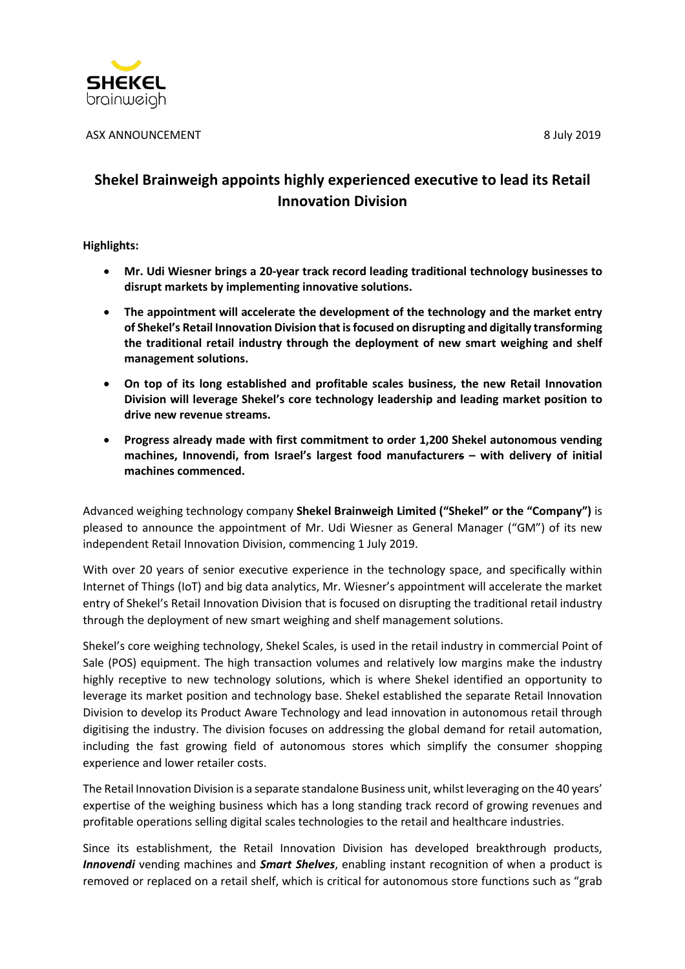

ASX ANNOUNCEMENT 8 3 and 3 and 3 and 3 and 3 and 3 and 3 and 3 and 3 and 3 and 3 and 3 and 3 and 3 and 3 and 3 and 3 and 3 and 3 and 3 and 3 and 3 and 3 and 3 and 3 and 3 and 3 and 3 and 3 and 3 and 3 and 3 and 3 and 3 and

# **Shekel Brainweigh appoints highly experienced executive to lead its Retail Innovation Division**

**Highlights:**

- **Mr. Udi Wiesner brings a 20-year track record leading traditional technology businesses to disrupt markets by implementing innovative solutions.**
- **The appointment will accelerate the development of the technology and the market entry of Shekel's Retail Innovation Division that isfocused on disrupting and digitally transforming the traditional retail industry through the deployment of new smart weighing and shelf management solutions.**
- **On top of its long established and profitable scales business, the new Retail Innovation Division will leverage Shekel's core technology leadership and leading market position to drive new revenue streams.**
- **Progress already made with first commitment to order 1,200 Shekel autonomous vending machines, Innovendi, from Israel's largest food manufacturers – with delivery of initial machines commenced.**

Advanced weighing technology company **Shekel Brainweigh Limited ("Shekel" or the "Company")** is pleased to announce the appointment of Mr. Udi Wiesner as General Manager ("GM") of its new independent Retail Innovation Division, commencing 1 July 2019.

With over 20 years of senior executive experience in the technology space, and specifically within Internet of Things (IoT) and big data analytics, Mr. Wiesner's appointment will accelerate the market entry of Shekel's Retail Innovation Division that is focused on disrupting the traditional retail industry through the deployment of new smart weighing and shelf management solutions.

Shekel's core weighing technology, Shekel Scales, is used in the retail industry in commercial Point of Sale (POS) equipment. The high transaction volumes and relatively low margins make the industry highly receptive to new technology solutions, which is where Shekel identified an opportunity to leverage its market position and technology base. Shekel established the separate Retail Innovation Division to develop its Product Aware Technology and lead innovation in autonomous retail through digitising the industry. The division focuses on addressing the global demand for retail automation, including the fast growing field of autonomous stores which simplify the consumer shopping experience and lower retailer costs.

The Retail Innovation Division is a separate standalone Business unit, whilst leveraging on the 40 years' expertise of the weighing business which has a long standing track record of growing revenues and profitable operations selling digital scales technologies to the retail and healthcare industries.

Since its establishment, the Retail Innovation Division has developed breakthrough products, *Innovendi* vending machines and *Smart Shelves*, enabling instant recognition of when a product is removed or replaced on a retail shelf, which is critical for autonomous store functions such as "grab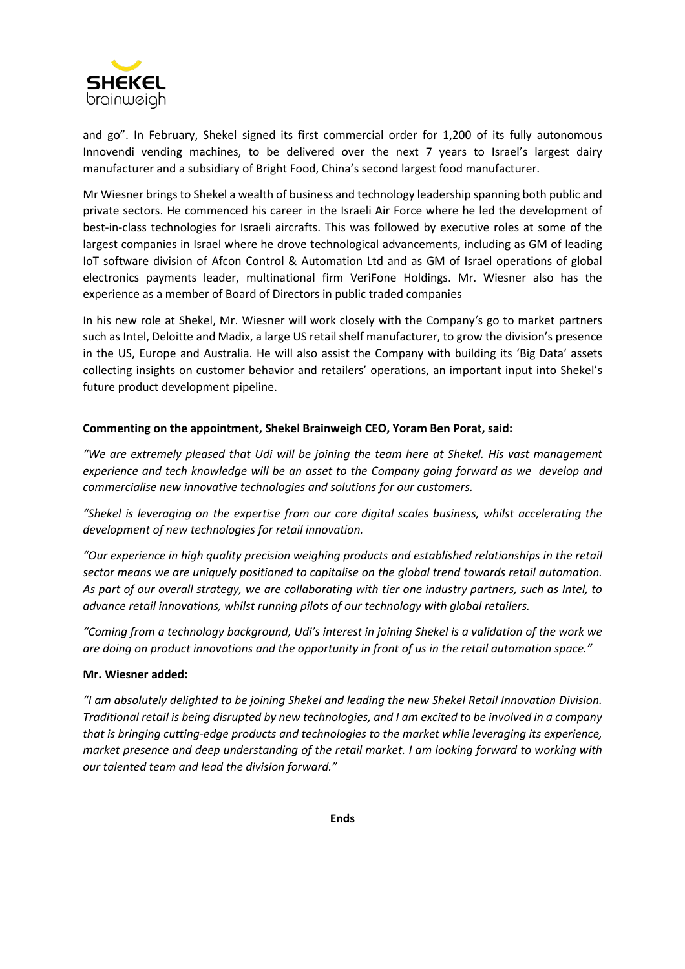

and go". In February, Shekel signed its first commercial order for 1,200 of its fully autonomous Innovendi vending machines, to be delivered over the next 7 years to Israel's largest dairy manufacturer and a subsidiary of Bright Food, China's second largest food manufacturer.

Mr Wiesner brings to Shekel a wealth of business and technology leadership spanning both public and private sectors. He commenced his career in the Israeli Air Force where he led the development of best-in-class technologies for Israeli aircrafts. This was followed by executive roles at some of the largest companies in Israel where he drove technological advancements, including as GM of leading IoT software division of Afcon Control & Automation Ltd and as GM of Israel operations of global electronics payments leader, multinational firm VeriFone Holdings. Mr. Wiesner also has the experience as a member of Board of Directors in public traded companies

In his new role at Shekel, Mr. Wiesner will work closely with the Company's go to market partners such as Intel, Deloitte and Madix, a large US retail shelf manufacturer, to grow the division's presence in the US, Europe and Australia. He will also assist the Company with building its 'Big Data' assets collecting insights on customer behavior and retailers' operations, an important input into Shekel's future product development pipeline.

### **Commenting on the appointment, Shekel Brainweigh CEO, Yoram Ben Porat, said:**

*"We are extremely pleased that Udi will be joining the team here at Shekel. His vast management experience and tech knowledge will be an asset to the Company going forward as we develop and commercialise new innovative technologies and solutions for our customers.*

*"Shekel is leveraging on the expertise from our core digital scales business, whilst accelerating the development of new technologies for retail innovation.*

*"Our experience in high quality precision weighing products and established relationships in the retail sector means we are uniquely positioned to capitalise on the global trend towards retail automation.* As part of our overall strategy, we are collaborating with tier one industry partners, such as Intel, to *advance retail innovations, whilst running pilots of our technology with global retailers.*

"Coming from a technology background, Udi's interest in joining Shekel is a validation of the work we are doing on product innovations and the opportunity in front of us in the retail automation space."

### **Mr. Wiesner added:**

*"I am absolutely delighted to be joining Shekel and leading the new Shekel Retail Innovation Division.* Traditional retail is being disrupted by new technologies, and I am excited to be involved in a company *that is bringing cutting-edge products and technologies to the market while leveraging its experience, market presence and deep understanding of the retail market. I am looking forward to working with our talented team and lead the division forward."*